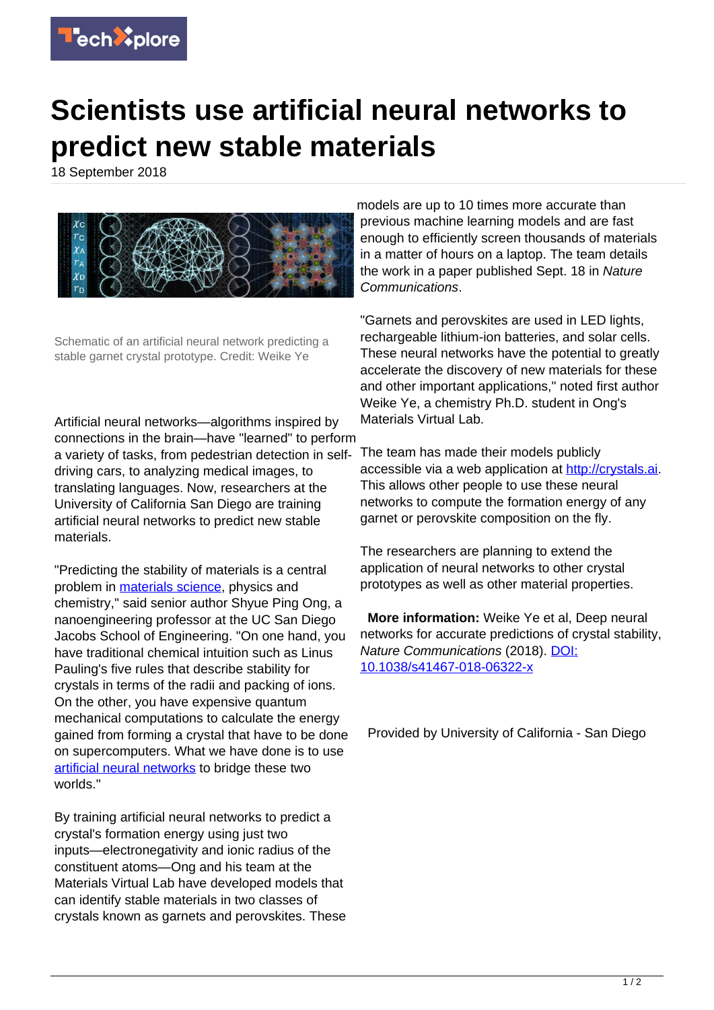

## **Scientists use artificial neural networks to predict new stable materials**

18 September 2018



Schematic of an artificial neural network predicting a stable garnet crystal prototype. Credit: Weike Ye

Artificial neural networks—algorithms inspired by connections in the brain—have "learned" to perform a variety of tasks, from pedestrian detection in selfdriving cars, to analyzing medical images, to translating languages. Now, researchers at the University of California San Diego are training artificial neural networks to predict new stable materials.

"Predicting the stability of materials is a central problem in [materials science,](https://techxplore.com/tags/materials+science/) physics and chemistry," said senior author Shyue Ping Ong, a nanoengineering professor at the UC San Diego Jacobs School of Engineering. "On one hand, you have traditional chemical intuition such as Linus Pauling's five rules that describe stability for crystals in terms of the radii and packing of ions. On the other, you have expensive quantum mechanical computations to calculate the energy gained from forming a crystal that have to be done on supercomputers. What we have done is to use [artificial neural networks](https://techxplore.com/tags/artificial+neural+networks/) to bridge these two worlds."

By training artificial neural networks to predict a crystal's formation energy using just two inputs—electronegativity and ionic radius of the constituent atoms—Ong and his team at the Materials Virtual Lab have developed models that can identify stable materials in two classes of crystals known as garnets and perovskites. These models are up to 10 times more accurate than previous machine learning models and are fast enough to efficiently screen thousands of materials in a matter of hours on a laptop. The team details the work in a paper published Sept. 18 in Nature Communications.

"Garnets and perovskites are used in LED lights, rechargeable lithium-ion batteries, and solar cells. These neural networks have the potential to greatly accelerate the discovery of new materials for these and other important applications," noted first author Weike Ye, a chemistry Ph.D. student in Ong's Materials Virtual Lab.

The team has made their models publicly accessible via a web application at [http://crystals.ai.](http://crystals.ai) This allows other people to use these neural networks to compute the formation energy of any garnet or perovskite composition on the fly.

The researchers are planning to extend the application of neural networks to other crystal prototypes as well as other material properties.

 **More information:** Weike Ye et al, Deep neural networks for accurate predictions of crystal stability, Nature Communications (2018). [DOI:](http://dx.doi.org/10.1038/s41467-018-06322-x) [10.1038/s41467-018-06322-x](http://dx.doi.org/10.1038/s41467-018-06322-x)

Provided by University of California - San Diego